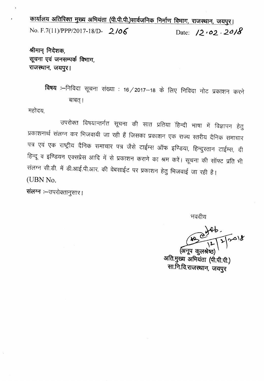कार्यालय अतिरिक्त मुख्य अभियंता (पी.पी.पी.)सार्वजनिक निर्माण विभाग, राजस्थान, जयपुर। No. F.7(11)/PPP/2017-18/D- 2/06 Date:  $12.02.2018$ 

श्रीमान् निदेशक, सूचना एवं जनसम्पर्क विभाग, राजस्थान, जयपुर।

> विषय :--निविदा सूचना संख्या : 16 / 2017–18 के लिए निविदा नोट प्रकाशन करने बाबत् ।

महोदय,

 $\bullet$ 

उपरोक्त विषयान्तर्गत सूचना की सात प्रतिया हिन्दी भाषा में विज्ञापन हेतु प्रकाशनार्थ संलग्न कर भिजवायी जा रही हैं जिसका प्रकाशन एक राज्य स्तरीय दैनिक समाचार पत्र एवं एक राष्ट्रीय दैनिक समाचार पत्र जैसे टाईम्स ऑफ इण्डिया, हिन्दुस्तान टाईम्स, दी हिन्दू व इण्डियन एक्सप्रेस आदि में से प्रकाशन कराने का श्रम करें। सूचना की सॉफ्ट प्रति भी संलग्न सी.डी. में डी.आई.पी.आर. की वेबसाईट पर प्रकाशन हेतु भिजवाई जा रही है। (UBN No.

संलग्न :- उपरोक्तानुसार।

भवदीय

Grap.

(अनूप कूलश्रेष्ठ अति.मुख्य अभियंता (पी.पी.पी.) सा.नि.वि.राजस्थान, जयपुर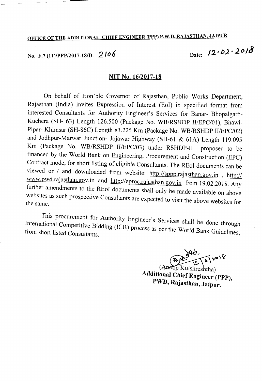## OFFICE OF THE ADDITIONAL. CHIEF ENGINEER (PPP) P.W.D.,RAJASTHAN, JAIPUR

# 12<sup>*,*</sup>*02<sup>2</sup>20/*<sup>3</sup>

#### **NIT** No. *16/2017-18*

On behalf of Hon 'ble Governor of Rajasthan, Public Works Department, Rajasthan (India) invites Expression of Interest (EoI) in specified format from interested Consultants for Authority Engineer's Services for Banar- Bhopalgarh-Kuchera (SH- 63) Length 126.500 (Package No. WBIRSHDP II/EPC/Ol), Bhawi-Pipar- Khimsar (SH-86C) Length 83.225 Km (Package No. WB/RSHDP *II/EPC/02*) and lodhpur-Marwar lunction- lojawar Highway (SH-61 & 61A) Length 119.095 Km (Package No. WB/RSHDP II/EPC/03) under RSHDP-II proposed to be financed by the World Bank on Engineering, Procurement and Construction (EPC) Contract mode, for short listing of eligible Consultants. The REol documents can be viewed or / and downloaded from website: http://sppp.rajasthan.gov.in , http:// www.pwd.rajasthan.gov.in and http://eproc.rajasthan.gov.in from 19.02.2018. Any further amendments to the REol documents shall only be made available on above websites as such prospective Consultants are expected to visit the above websites for the same.

This procurement for Authority Engineer's Services shall be done through  $I_{\text{norm}}$  Competitive Bidding (ICB) process as per the World Bank Guidelin: from short listed Consultants. The more world bank Guidelines,

 $\sqrt{2}$   $\approx 1$ 

Kulshreshtha) Additional Chief Engineer (PPP), PWD, Rajasthan, Jaipur.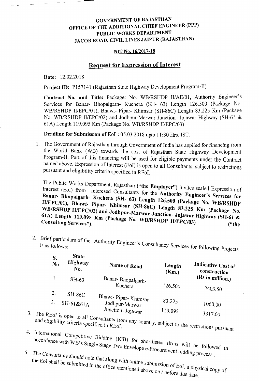## GOVERNMENT OF RAJASTHAN OFFICE OF THE ADDITIONAL CHIEF ENGINEER (PPP) PUBLIC WORKS DEPARTMENT JACOB ROAD, CIVIL LINES JAIPUR (RAJASTHAN)

#### NIT No. 16/2017-18

### Request for Expression of Interest

Date: 12.02.2018

Project ID: P157141 (Rajasthan State Highway Development Program-II)

Contract No. and Title: Package: No. WB/RSHDP II/AE/01, Authority Engineer's Services for Banar- Bhopalgarh- Kuchera (SH- 63) Length 126.500 (Package No. WB/RSHDP II/EPC/01), Bhawi- Pipar- Khimsar (SH-86C) Length 83.225 Km (Package No. WB/RSHDP II/EPC/02) and Jodhpur-Marwar Junction- Jojawar Highway (SH-61 & 61A) Length 119.095 Km (Package No. WB/RSHDP II/EPC/03)

Deadline for Submission of EoI : 05.03.2018 upto 11:30 Hrs. 1ST.

1. The Government of Rajasthan through Government of India has applied for financing from the World Bank (WB) towards the cost of Rajasthan State Highway Development Program-II. Part of this financing will be used for eligible payments under the Contract named above. Expression of Interest (EoI) is open to all Consultants, subject to restrictions pursuant and eligibility criteria specified in REoI.

The Public Works Department, Rajasthan ("the Employer") in Interest (EoI) from interesed Consultants for the  $A_{\text{refl}}$ , i.e.  $\bar{E}$  Expression of Interest (EoI) from interesed Consultants for the Authority Engineer's Services for Banar- Bhopalgarh- Kuchera (SH- 63) Length 126.500 (Package No. WB/RSHDP , Bhawi- Pipar- Khimsar (SH-86C) L WB/RSHDP II/EPC/02) and Jodhnur-Marwon Issued  $\frac{3.225}{4}$  Km (Package No. WB/RSHDP II/EPC/02) and Jodhpur-Marwar Junction- Jojawar Highway (SH-61 & 61A) Length 119.095 Km (Package No. WB/RSHDP II/EPC/03) ("the Consulting Services"). 61A) Length 119.095 Km (Package No. WB/RSHDP II/EPC/03) ("the Consulting Services").

2. Brief particulars of the Auth is as follows: ut ority Engineer's Consultancy Services for *following* Projects

| S.<br>N <sub>0</sub>   | <b>State</b><br>Highway<br>No. | Name of Road          | Length<br>(Km.) | Indicative Cost of<br>construction |
|------------------------|--------------------------------|-----------------------|-----------------|------------------------------------|
|                        | $SH-63$                        | Banar-Bhopalgarh-     |                 | (Rs in million.)                   |
|                        |                                | Kuchera               | 126.500         | 2403.50                            |
| 2.                     | SH-86C                         | Bhawi- Pipar- Khimsar |                 |                                    |
|                        | $SH-61&61A$                    | Jodhpur-Marwar        | 83.225          | 1060.00                            |
| The RE <sub>o</sub> r: |                                | Junction- Jojawar     | 119.095         | 3317 OO                            |

- <sup>3.</sup> The REoI is open to all Consultants from any country.  $\epsilon$  IglbllIty criteria specified in RE<sub>O</sub>I any country, subject to the restriction . So to the restrictions pursuant
- <sup>4.</sup> International Competitive Bidding *I* accordance with WB's Single Stage Two Envelope e-Procurance is will be followed in
- $5.$  The  $Conl$  rocurement biddi . The Consultants should note that the **latter of the consultants** should note that the **latter of the consultants** process.  $\mu$   $\approx$   $\frac{1}{2}$   $\frac{1}{2}$   $\frac{1}{2}$   $\frac{1}{2}$   $\frac{1}{2}$   $\frac{1}{2}$   $\frac{1}{2}$   $\frac{1}{2}$   $\frac{1}{2}$   $\frac{1}{2}$   $\frac{1}{2}$   $\frac{1}{2}$   $\frac{1}{2}$   $\frac{1}{2}$   $\frac{1}{2}$   $\frac{1}{2}$   $\frac{1}{2}$   $\frac{1}{2}$   $\frac{1}{2}$   $\frac{1}{2}$   $\frac{1}{2}$  the EoI shall be submitted in the office with offline submission of EoI a n . Ice mentioned above on / bossessed pulled copy of the EoI shall be submitted in the office mentioned above on / before due date.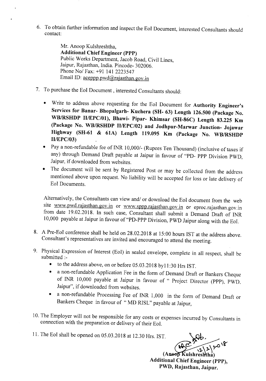6. To obtain further information and inspect the EoI Document, interested Consultants should contact:

> Mr. Anoop Kulshreshtha, Additional Chief Engineer (PPP) Public Works Department, Jacob Road, Civil Lines, Jaipur, Rajasthan, India. Pincode- 302006. Phone *Nol* Fax: +91 141 2223547 Email ID: aceppp.pwd@rajasthan.gov.in

- 7. To purchase the Eol Document, interested Consultants should:
	- Write to address above requesting for the Eol Document for Authority Engineer's Services for Banar- Bhopalgarh- Kuchera (SH- 63) Length 126.500 (Package No. *WB/RSHDP II/EPC/Ol),* Bhawi- Pipar- Khimsar (SH-86C) Length 83.225 Km (Package No. WBIRSHDP *IIIEPC/02)* and Jodhpur-Marwar Junction- Jojawar Highway (SH-61 & 61A) Length 119.095 Km (Package No. WBIRSHDP *IIIEPC/03)*
	- Pay a non-refundable fee of INR *10,0001-* (Rupees Ten Thousand) (inclusive of taxes if any) through Demand Draft payable at Jaipur in favour of "PD- PPP Division PWD, Jaipur, if downloaded from websites.
	- The document will be sent by Registered Post or may be collected from the address mentioned above upon request. No liability will be accepted for loss or late delivery of Eol Documents.

Alternatively, the Consultants can view *andl* or download the Eol document from the web site www.pwd.rajasthan.gov.in or www.sppp.rajasthan.gov.in or eproc.rajasthan.gov.in from date 19.02.2018. In such case, Consultant shall submit a Demand Draft of INR 10,000 payable at Jaipur in favour of "PD-PPP Division, PWD Jaipur along with the Eol.

- 8. A Pre-Eol conference shall be held on 28.02.2018 at 15:00 hours 1ST at the address above. Consultant's representatives are invited and encouraged to attend the meeting.
- 9. Physical Expression of Interest (EoI) in sealed envelope, complete in all respect, shall be submitted :-
	- to the address above, on or before 05.03.2018 byl1 :30 Hrs 1ST.
	- a non-refundable Application Fee in the form of Demand Draft or Bankers Cheque of INR 10,000 payable at Jaipur in favour of " Project Director (PPP), PWD. Jaipur", if downloaded from websites.
	- a non-refundable Processing Fee of INR 1,000 in the form of Demand Draft or Bankers Cheque in favour of " MD RISL" payable at Jaipur,
- 10. The Employer will not be responsible for any costs or expenses incurred by Consultants in connection with the preparation or delivery of their Eol.

11. The Eol shall be opened on 05.03.2018 at 12.30 Hrs. 1ST.

(Anoop Kulshreshtha) Additional Chief Engineer (PPP), PWD, Rajasthan, Jaipur.